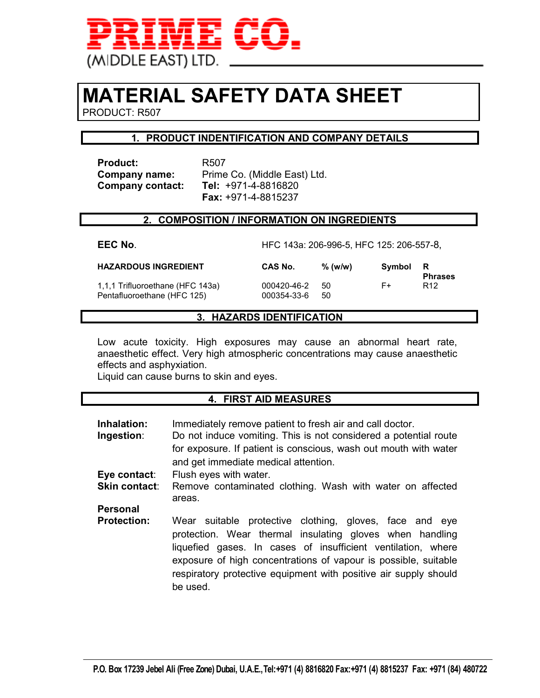

# **MATERIAL SAFETY DATA SHEET**

PRODUCT: R507

# **1. PRODUCT INDENTIFICATION AND COMPANY DETAILS**

Product: R507 **Company contact:** 

**Company name:** Prime Co. (Middle East) Ltd.<br>**Company contact: Tel:** +971-4-8816820  **Fax:** +971-4-8815237

# **2. COMPOSITION / INFORMATION ON INGREDIENTS**

| EEC No.                                                         | HFC 143a: 206-996-5, HFC 125: 206-557-8, |           |        |                       |
|-----------------------------------------------------------------|------------------------------------------|-----------|--------|-----------------------|
| <b>HAZARDOUS INGREDIENT</b>                                     | CAS No.                                  | $%$ (w/w) | Symbol | - R<br><b>Phrases</b> |
| 1,1,1 Trifluoroethane (HFC 143a)<br>Pentafluoroethane (HFC 125) | 000420-46-2<br>000354-33-6               | 50<br>50  | F+     | R <sub>12</sub>       |

# **3. HAZARDS IDENTIFICATION**

Low acute toxicity. High exposures may cause an abnormal heart rate, anaesthetic effect. Very high atmospheric concentrations may cause anaesthetic effects and asphyxiation.

Liquid can cause burns to skin and eyes.

# **4. FIRST AID MEASURES**

| Inhalation:<br>Ingestion: | Immediately remove patient to fresh air and call doctor.<br>Do not induce vomiting. This is not considered a potential route<br>for exposure. If patient is conscious, wash out mouth with water<br>and get immediate medical attention.                                                                                               |  |  |
|---------------------------|----------------------------------------------------------------------------------------------------------------------------------------------------------------------------------------------------------------------------------------------------------------------------------------------------------------------------------------|--|--|
| Eye contact:              | Flush eyes with water.                                                                                                                                                                                                                                                                                                                 |  |  |
| <b>Skin contact:</b>      | Remove contaminated clothing. Wash with water on affected<br>areas.                                                                                                                                                                                                                                                                    |  |  |
| <b>Personal</b>           |                                                                                                                                                                                                                                                                                                                                        |  |  |
| <b>Protection:</b>        | Wear suitable protective clothing, gloves, face and eye<br>protection. Wear thermal insulating gloves when handling<br>liquefied gases. In cases of insufficient ventilation, where<br>exposure of high concentrations of vapour is possible, suitable<br>respiratory protective equipment with positive air supply should<br>be used. |  |  |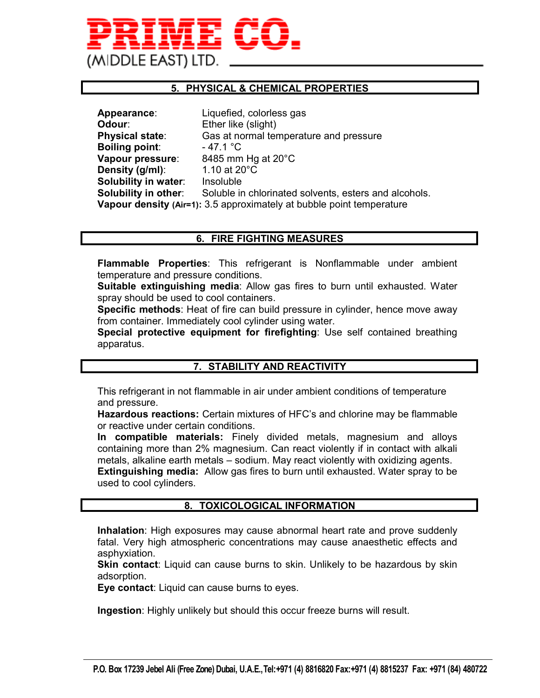

# **5. PHYSICAL & CHEMICAL PROPERTIES**

| Appearance:            | Liquefied, colorless gas                                              |
|------------------------|-----------------------------------------------------------------------|
| Odour:                 | Ether like (slight)                                                   |
| <b>Physical state:</b> | Gas at normal temperature and pressure                                |
| <b>Boiling point:</b>  | - 47.1 °C                                                             |
| Vapour pressure:       | 8485 mm Hg at 20°C                                                    |
| Density (g/ml):        | 1.10 at 20°C                                                          |
| Solubility in water:   | Insoluble                                                             |
| Solubility in other:   | Soluble in chlorinated solvents, esters and alcohols.                 |
|                        | Vapour density (Air=1): 3.5 approximately at bubble point temperature |

# **6. FIRE FIGHTING MEASURES**

**Flammable Properties**: This refrigerant is Nonflammable under ambient temperature and pressure conditions.

**Suitable extinguishing media**: Allow gas fires to burn until exhausted. Water spray should be used to cool containers.

**Specific methods**: Heat of fire can build pressure in cylinder, hence move away from container. Immediately cool cylinder using water.

**Special protective equipment for firefighting**: Use self contained breathing apparatus.

# **7. STABILITY AND REACTIVITY**

This refrigerant in not flammable in air under ambient conditions of temperature and pressure.

**Hazardous reactions:** Certain mixtures of HFC's and chlorine may be flammable or reactive under certain conditions.

**In compatible materials:** Finely divided metals, magnesium and alloys containing more than 2% magnesium. Can react violently if in contact with alkali metals, alkaline earth metals – sodium. May react violently with oxidizing agents. **Extinguishing media:** Allow gas fires to burn until exhausted. Water spray to be used to cool cylinders.

# **8. TOXICOLOGICAL INFORMATION**

**Inhalation**: High exposures may cause abnormal heart rate and prove suddenly fatal. Very high atmospheric concentrations may cause anaesthetic effects and asphyxiation.

**Skin contact**: Liquid can cause burns to skin. Unlikely to be hazardous by skin adsorption.

**Eye contact**: Liquid can cause burns to eyes.

**Ingestion**: Highly unlikely but should this occur freeze burns will result.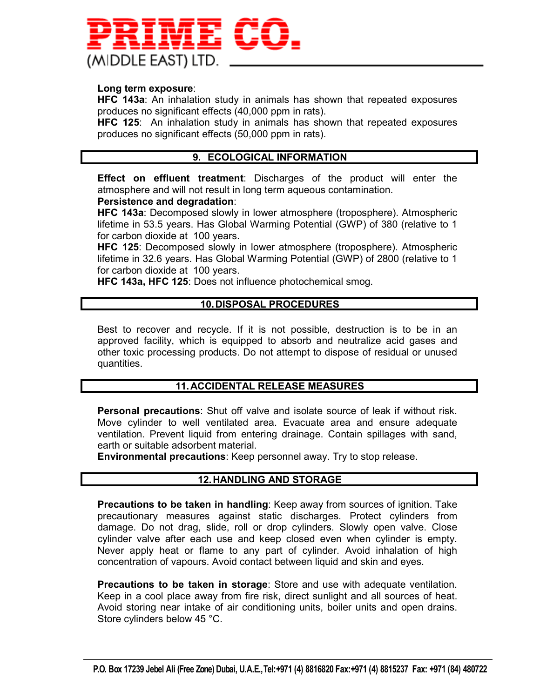

#### **Long term exposure**:

**HFC 143a**: An inhalation study in animals has shown that repeated exposures produces no significant effects (40,000 ppm in rats).

**HFC 125**: An inhalation study in animals has shown that repeated exposures produces no significant effects (50,000 ppm in rats).

# **9. ECOLOGICAL INFORMATION**

**Effect on effluent treatment**: Discharges of the product will enter the atmosphere and will not result in long term aqueous contamination.

#### **Persistence and degradation**:

**HFC 143a**: Decomposed slowly in lower atmosphere (troposphere). Atmospheric lifetime in 53.5 years. Has Global Warming Potential (GWP) of 380 (relative to 1 for carbon dioxide at 100 years.

**HFC 125**: Decomposed slowly in lower atmosphere (troposphere). Atmospheric lifetime in 32.6 years. Has Global Warming Potential (GWP) of 2800 (relative to 1 for carbon dioxide at 100 years.

**HFC 143a, HFC 125**: Does not influence photochemical smog.

# **10. DISPOSAL PROCEDURES**

Best to recover and recycle. If it is not possible, destruction is to be in an approved facility, which is equipped to absorb and neutralize acid gases and other toxic processing products. Do not attempt to dispose of residual or unused quantities.

# **11. ACCIDENTAL RELEASE MEASURES**

**Personal precautions**: Shut off valve and isolate source of leak if without risk. Move cylinder to well ventilated area. Evacuate area and ensure adequate ventilation. Prevent liquid from entering drainage. Contain spillages with sand, earth or suitable adsorbent material.

**Environmental precautions**: Keep personnel away. Try to stop release.

# **12. HANDLING AND STORAGE**

**Precautions to be taken in handling**: Keep away from sources of ignition. Take precautionary measures against static discharges. Protect cylinders from damage. Do not drag, slide, roll or drop cylinders. Slowly open valve. Close cylinder valve after each use and keep closed even when cylinder is empty. Never apply heat or flame to any part of cylinder. Avoid inhalation of high concentration of vapours. Avoid contact between liquid and skin and eyes.

**Precautions to be taken in storage**: Store and use with adequate ventilation. Keep in a cool place away from fire risk, direct sunlight and all sources of heat. Avoid storing near intake of air conditioning units, boiler units and open drains. Store cylinders below 45 °C.